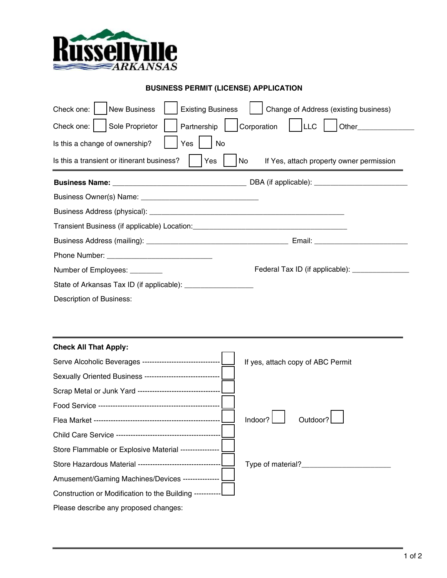

## **BUSINESS PERMIT (LICENSE) APPLICATION**

| Check one:<br>New Business                                      | Change of Address (existing business)<br><b>Existing Business</b> |  |  |
|-----------------------------------------------------------------|-------------------------------------------------------------------|--|--|
| Check one:   Sole Proprietor<br>Partnership                     | Corporation   LLC<br><b>Other Community</b>                       |  |  |
| Is this a change of ownership?<br>Yes<br>No                     |                                                                   |  |  |
| Is this a transient or itinerant business?                      | Yes<br>No<br>If Yes, attach property owner permission             |  |  |
|                                                                 |                                                                   |  |  |
|                                                                 |                                                                   |  |  |
|                                                                 |                                                                   |  |  |
|                                                                 |                                                                   |  |  |
|                                                                 |                                                                   |  |  |
|                                                                 |                                                                   |  |  |
| Number of Employees: ________                                   | Federal Tax ID (if applicable): ______________                    |  |  |
| State of Arkansas Tax ID (if applicable): _____________________ |                                                                   |  |  |
| Description of Business:                                        |                                                                   |  |  |

## **Check All That Apply:**

| Serve Alcoholic Beverages -------------------------------- | If yes, attach copy of ABC Permit |
|------------------------------------------------------------|-----------------------------------|
| Sexually Oriented Business ------------------------------- |                                   |
| Scrap Metal or Junk Yard --------------------------------  |                                   |
|                                                            |                                   |
|                                                            | Outdoor?<br>Indoor?               |
|                                                            |                                   |
| Store Flammable or Explosive Material ----------------     |                                   |
| Store Hazardous Material ------------------------------    | Type of material?                 |
| Amusement/Gaming Machines/Devices -                        |                                   |
| Construction or Modification to the Building -----------   |                                   |
| Please describe any proposed changes:                      |                                   |